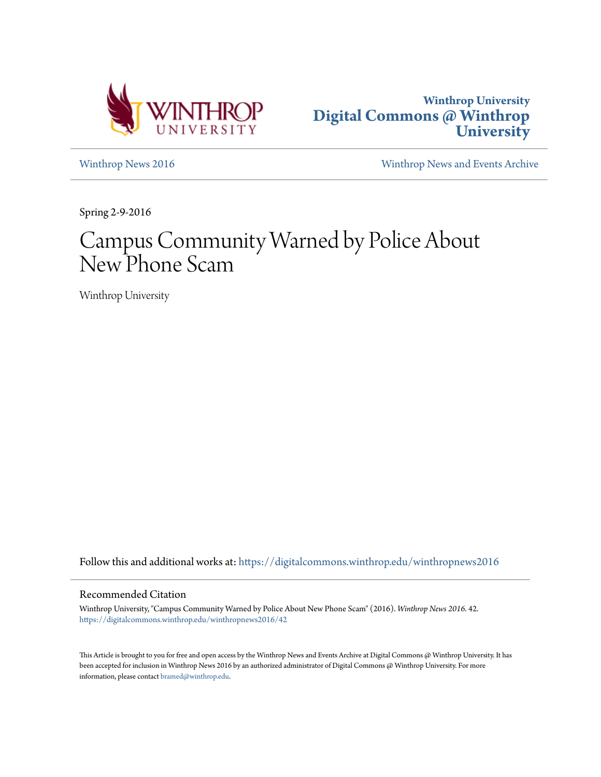



[Winthrop News 2016](https://digitalcommons.winthrop.edu/winthropnews2016?utm_source=digitalcommons.winthrop.edu%2Fwinthropnews2016%2F42&utm_medium=PDF&utm_campaign=PDFCoverPages) [Winthrop News and Events Archive](https://digitalcommons.winthrop.edu/winthropnewsarchives?utm_source=digitalcommons.winthrop.edu%2Fwinthropnews2016%2F42&utm_medium=PDF&utm_campaign=PDFCoverPages)

Spring 2-9-2016

## Campus Community Warned by Police About New Phone Scam

Winthrop University

Follow this and additional works at: [https://digitalcommons.winthrop.edu/winthropnews2016](https://digitalcommons.winthrop.edu/winthropnews2016?utm_source=digitalcommons.winthrop.edu%2Fwinthropnews2016%2F42&utm_medium=PDF&utm_campaign=PDFCoverPages)

## Recommended Citation

Winthrop University, "Campus Community Warned by Police About New Phone Scam" (2016). *Winthrop News 2016*. 42. [https://digitalcommons.winthrop.edu/winthropnews2016/42](https://digitalcommons.winthrop.edu/winthropnews2016/42?utm_source=digitalcommons.winthrop.edu%2Fwinthropnews2016%2F42&utm_medium=PDF&utm_campaign=PDFCoverPages)

This Article is brought to you for free and open access by the Winthrop News and Events Archive at Digital Commons @ Winthrop University. It has been accepted for inclusion in Winthrop News 2016 by an authorized administrator of Digital Commons @ Winthrop University. For more information, please contact [bramed@winthrop.edu](mailto:bramed@winthrop.edu).